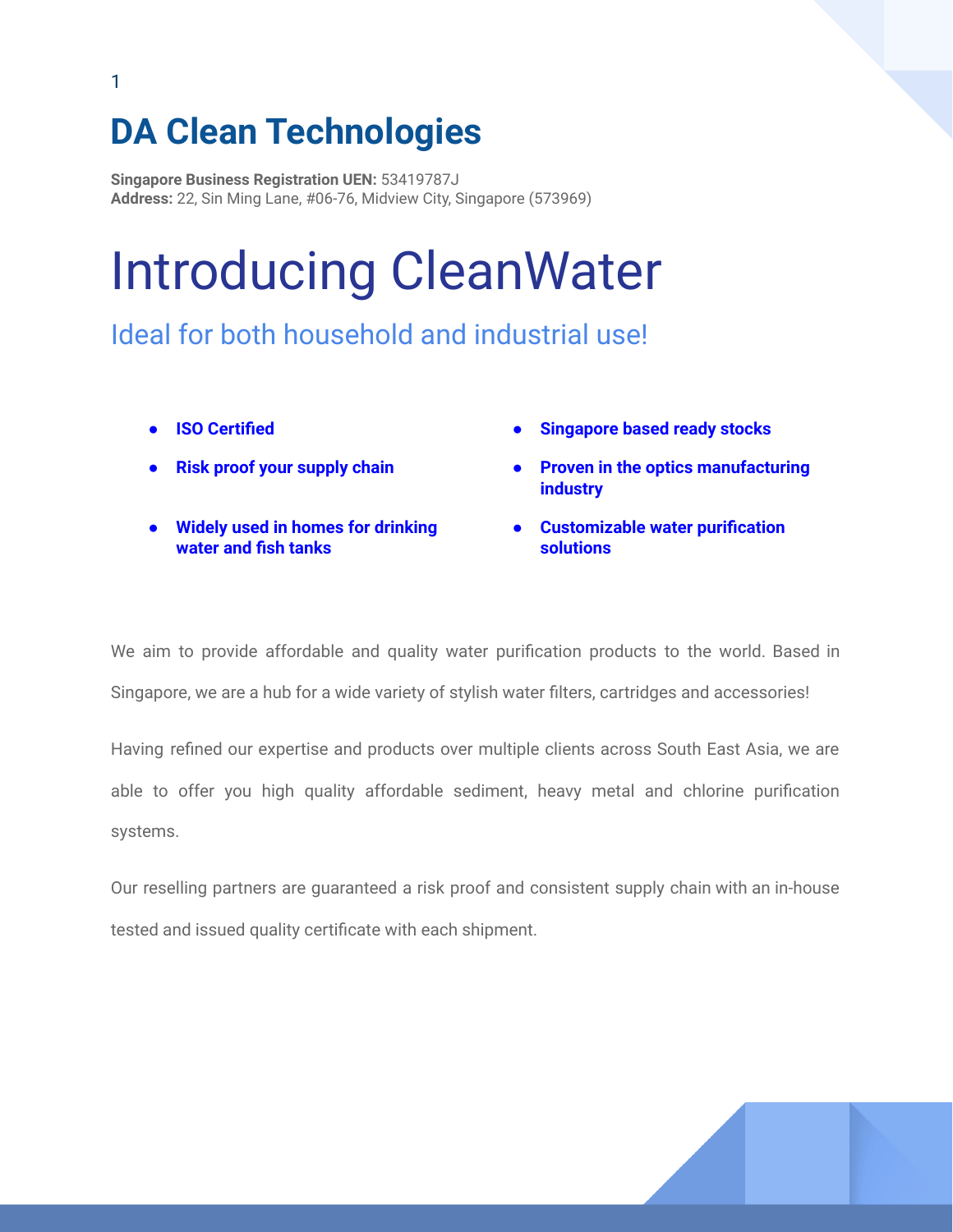## **DA Clean Technologies**

**Singapore Business Registration UEN:** 53419787J **Address:** 22, Sin Ming Lane, #06-76, Midview City, Singapore (573969)

# Introducing CleanWater

Ideal for both household and industrial use!

- 
- 
- **● Widely used in homes for drinking water and fish tanks**
- **● ISO Certified ● Singapore based ready stocks**
	- **● Risk proof your supply chain ● Proven in the optics manufacturing industry**
		- **● Customizable water purification solutions**

We aim to provide affordable and quality water purification products to the world. Based in Singapore, we are a hub for a wide variety of stylish water filters, cartridges and accessories!

Having refined our expertise and products over multiple clients across South East Asia, we are able to offer you high quality affordable sediment, heavy metal and chlorine purification systems.

Our reselling partners are guaranteed a risk proof and consistent supply chain with an in-house tested and issued quality certificate with each shipment.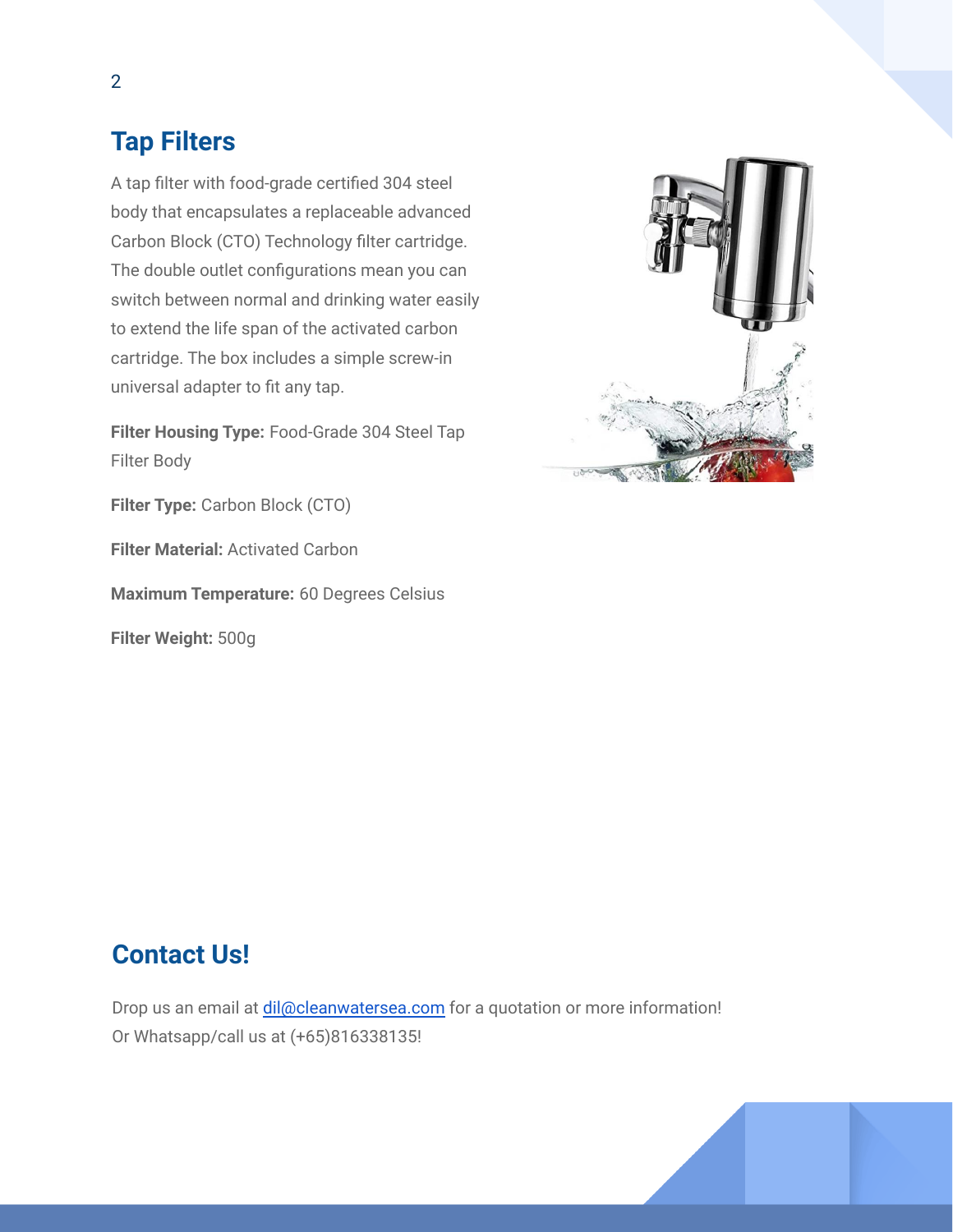### **Tap Filters**

A tap filter with food-grade certified 304 steel body that encapsulates a replaceable advanced Carbon Block (CTO) Technology filter cartridge. The double outlet configurations mean you can switch between normal and drinking water easily to extend the life span of the activated carbon cartridge. The box includes a simple screw-in universal adapter to fit any tap.

**Filter Housing Type:** Food-Grade 304 Steel Tap Filter Body

**Filter Type:** Carbon Block (CTO)

**Filter Material:** Activated Carbon

**Maximum Temperature:** 60 Degrees Celsius

**Filter Weight:** 500g



### **Contact Us!**

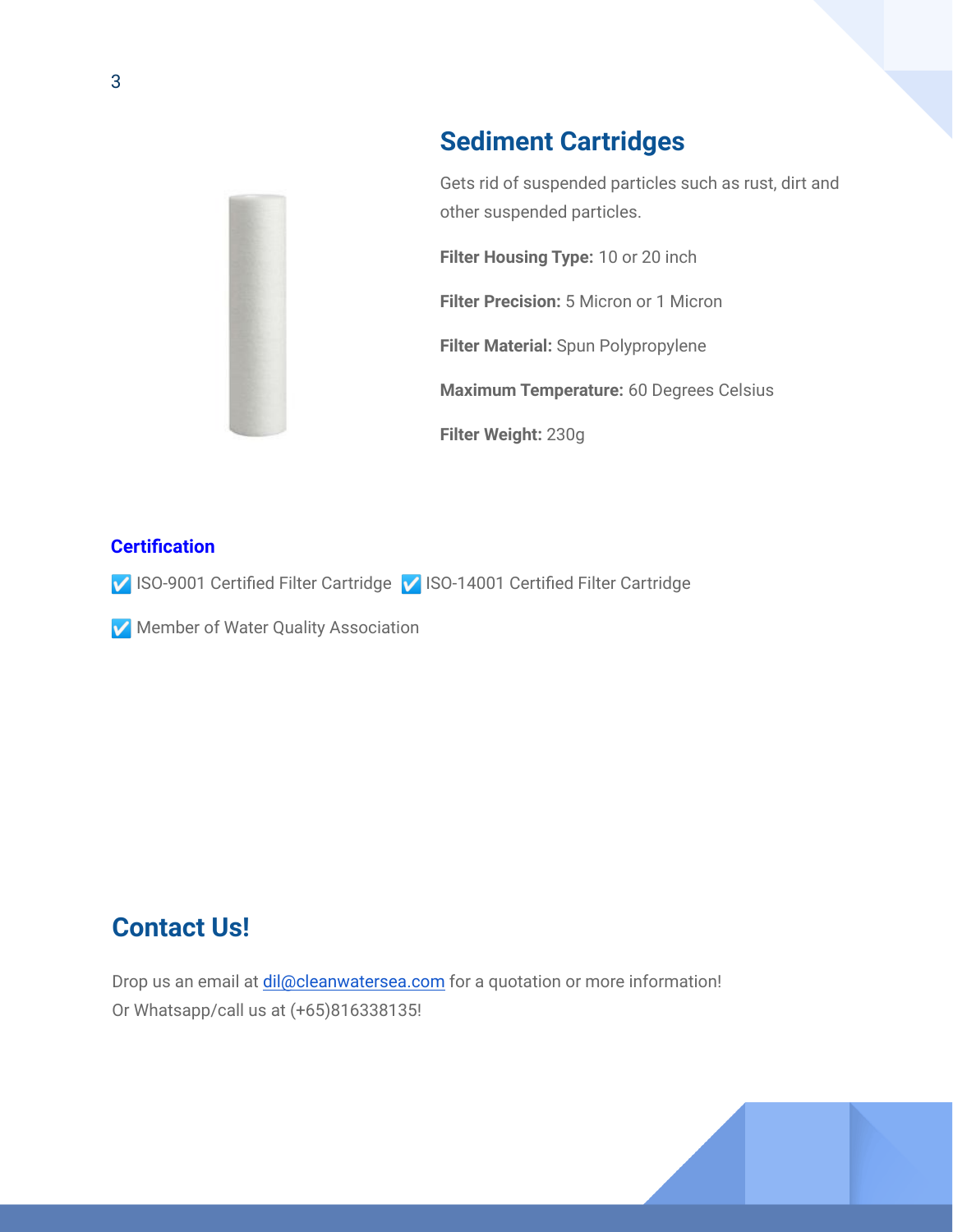

### **Sediment Cartridges**

Gets rid of suspended particles such as rust, dirt and other suspended particles.

**Filter Housing Type:** 10 or 20 inch

**Filter Precision:** 5 Micron or 1 Micron

**Filter Material:** Spun Polypropylene

**Maximum Temperature:** 60 Degrees Celsius

**Filter Weight:** 230g

#### **Certification**

☑️ ISO-9001 Certified Filter Cartridge ☑️ ISO-14001 Certified Filter Cartridge

☑️ Member of Water Quality Association

### **Contact Us!**

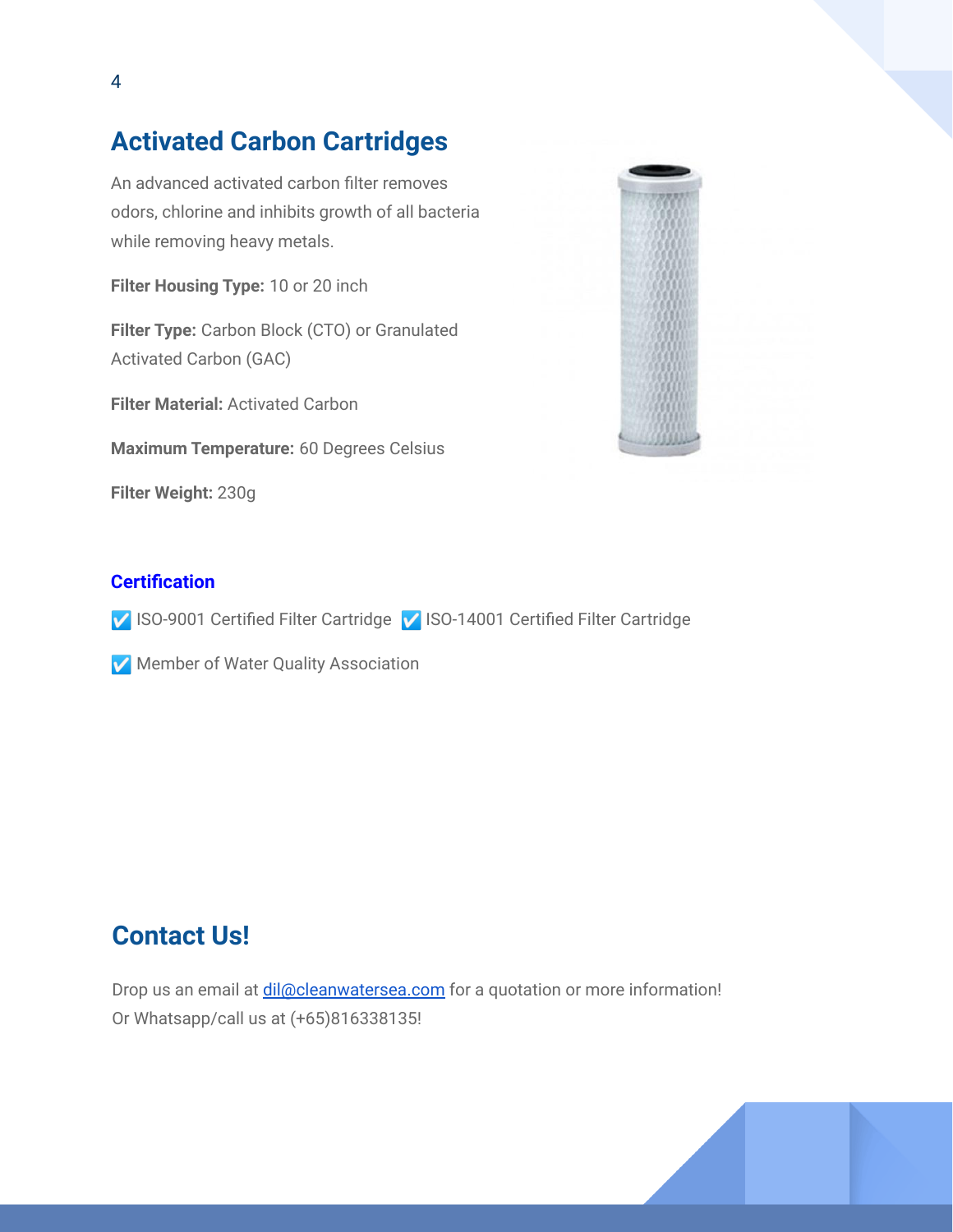### **Activated Carbon Cartridges**

An advanced activated carbon filter removes odors, chlorine and inhibits growth of all bacteria while removing heavy metals.

**Filter Housing Type:** 10 or 20 inch

**Filter Type:** Carbon Block (CTO) or Granulated Activated Carbon (GAC)

**Filter Material:** Activated Carbon

**Maximum Temperature:** 60 Degrees Celsius

**Filter Weight:** 230g



#### **Certification**

☑️ ISO-9001 Certified Filter Cartridge ☑️ ISO-14001 Certified Filter Cartridge

☑️ Member of Water Quality Association

### **Contact Us!**

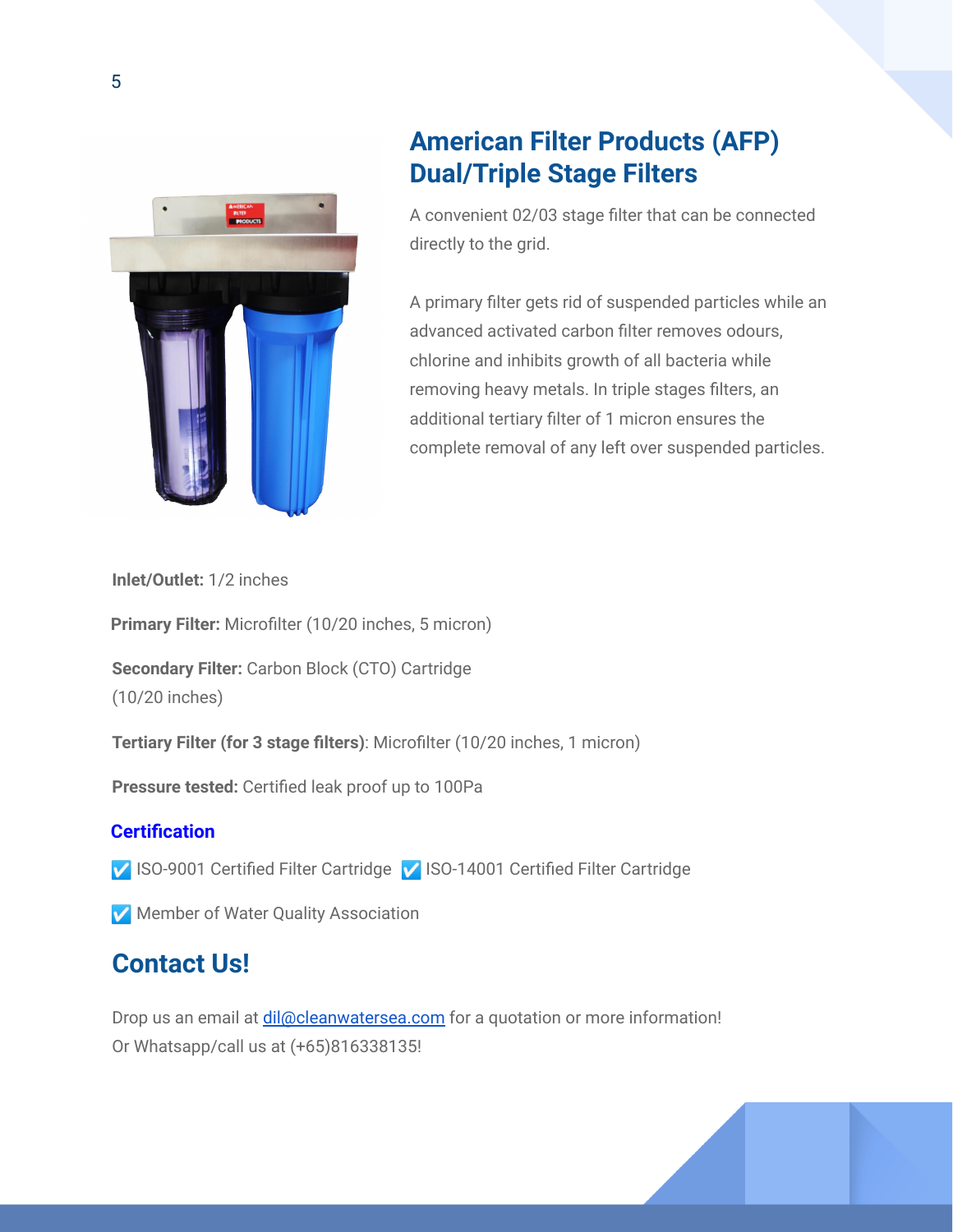

### **American Filter Products (AFP) Dual/Triple Stage Filters**

A convenient 02/03 stage filter that can be connected directly to the grid.

A primary filter gets rid of suspended particles while an advanced activated carbon filter removes odours, chlorine and inhibits growth of all bacteria while removing heavy metals. In triple stages filters, an additional tertiary filter of 1 micron ensures the complete removal of any left over suspended particles.

**Inlet/Outlet:** 1/2 inches

**Primary Filter:** Microfilter (10/20 inches, 5 micron)

**Secondary Filter:** Carbon Block (CTO) Cartridge (10/20 inches)

**Tertiary Filter (for 3 stage filters)**: Microfilter (10/20 inches, 1 micron)

**Pressure tested:** Certified leak proof up to 100Pa

#### **Certification**

- ☑️ ISO-9001 Certified Filter Cartridge ☑️ ISO-14001 Certified Filter Cartridge
- ☑️ Member of Water Quality Association

### **Contact Us!**